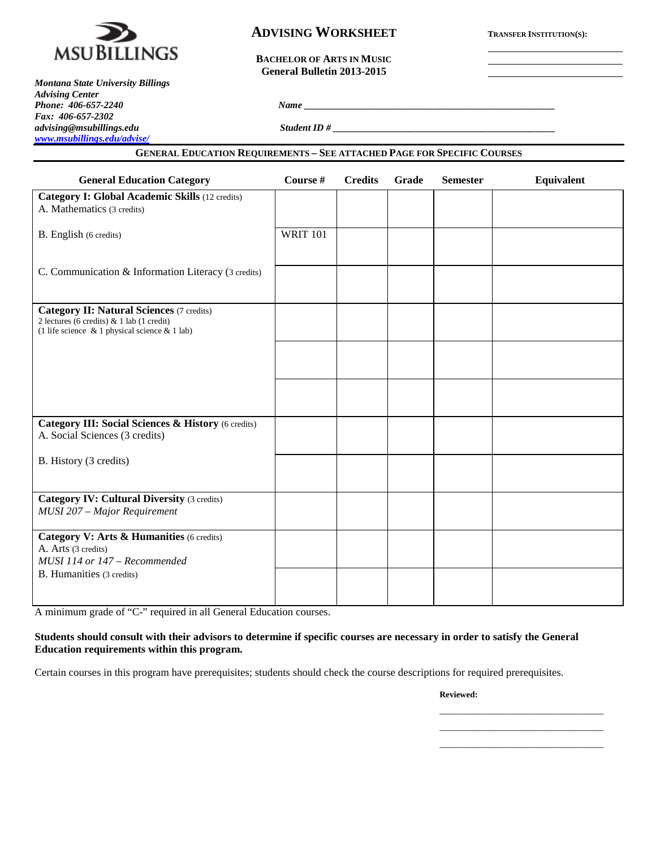

# **ADVISING WORKSHEET TRANSFER INSTITUTION(S):**

**BACHELOR OF ARTS IN MUSIC General Bulletin 2013-2015**

*Montana State University Billings Advising Center Fax: 406-657-2302 advising@msubillings.edu Student ID # \_\_\_\_\_\_\_\_\_\_\_\_\_\_\_\_\_\_\_\_\_\_\_\_\_\_\_\_\_\_\_\_\_\_\_\_\_\_\_\_\_\_\_\_\_\_ [www.msubillings.edu/advise/](http://www.msubillings.edu/advise/)*

#### **GENERAL EDUCATION REQUIREMENTS – SEE ATTACHED PAGE FOR SPECIFIC COURSES**

*Phone: 406-657-2240 Name \_\_\_\_\_\_\_\_\_\_\_\_\_\_\_\_\_\_\_\_\_\_\_\_\_\_\_\_\_\_\_\_\_\_\_\_\_\_\_\_\_\_\_\_\_\_\_\_\_\_\_\_*

| <b>General Education Category</b>                                                                                                                    | Course #        | <b>Credits</b> | Grade | <b>Semester</b> | Equivalent |
|------------------------------------------------------------------------------------------------------------------------------------------------------|-----------------|----------------|-------|-----------------|------------|
| <b>Category I: Global Academic Skills (12 credits)</b><br>A. Mathematics (3 credits)                                                                 |                 |                |       |                 |            |
| B. English (6 credits)                                                                                                                               | <b>WRIT 101</b> |                |       |                 |            |
| C. Communication & Information Literacy (3 credits)                                                                                                  |                 |                |       |                 |            |
| <b>Category II: Natural Sciences (7 credits)</b><br>2 lectures (6 credits) & 1 lab (1 credit)<br>(1 life science $\&$ 1 physical science $\&$ 1 lab) |                 |                |       |                 |            |
|                                                                                                                                                      |                 |                |       |                 |            |
|                                                                                                                                                      |                 |                |       |                 |            |
| Category III: Social Sciences & History (6 credits)<br>A. Social Sciences (3 credits)                                                                |                 |                |       |                 |            |
| B. History (3 credits)                                                                                                                               |                 |                |       |                 |            |
| <b>Category IV: Cultural Diversity (3 credits)</b><br><b>MUSI 207 - Major Requirement</b>                                                            |                 |                |       |                 |            |
| Category V: Arts & Humanities (6 credits)<br>A. Arts (3 credits)<br>MUSI 114 or 147 - Recommended                                                    |                 |                |       |                 |            |
| B. Humanities (3 credits)                                                                                                                            |                 |                |       |                 |            |

A minimum grade of "C-" required in all General Education courses.

#### **Students should consult with their advisors to determine if specific courses are necessary in order to satisfy the General Education requirements within this program.**

Certain courses in this program have prerequisites; students should check the course descriptions for required prerequisites.

**Reviewed:**

\_\_\_\_\_\_\_\_\_\_\_\_\_\_\_\_\_\_\_\_\_\_\_\_\_\_\_\_\_\_\_\_\_\_ \_\_\_\_\_\_\_\_\_\_\_\_\_\_\_\_\_\_\_\_\_\_\_\_\_\_\_\_\_\_\_\_\_\_ \_\_\_\_\_\_\_\_\_\_\_\_\_\_\_\_\_\_\_\_\_\_\_\_\_\_\_\_\_\_\_\_\_\_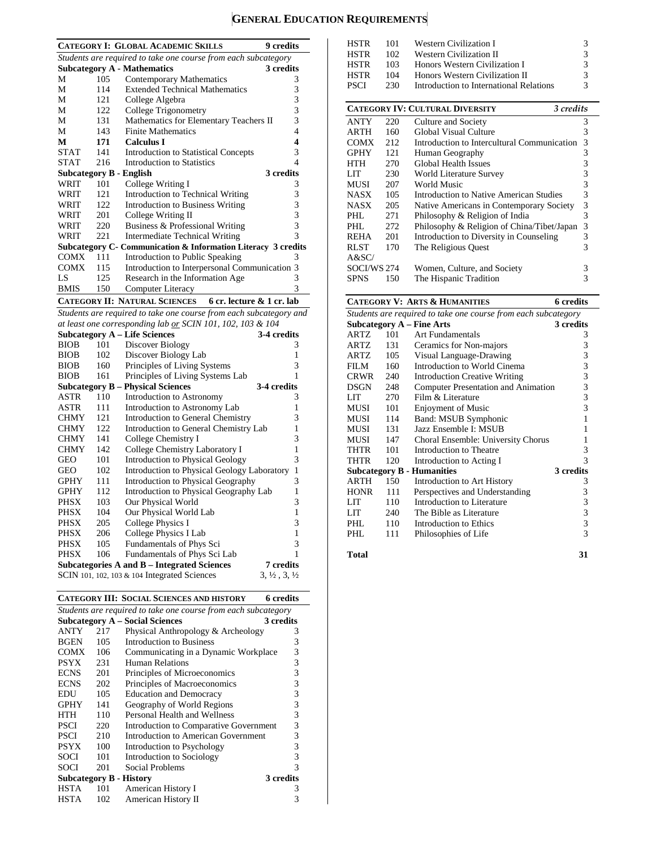# **GENERAL EDUCATION REQUIREMENTS**

|                                |     | <b>CATEGORY I: GLOBAL ACADEMIC SKILLS</b>                          | <b>9</b> credits                 |
|--------------------------------|-----|--------------------------------------------------------------------|----------------------------------|
|                                |     | Students are required to take one course from each subcategory     |                                  |
|                                |     | <b>Subcategory A - Mathematics</b>                                 | 3 credits                        |
| М                              | 105 | <b>Contemporary Mathematics</b>                                    | 3                                |
| М                              | 114 | <b>Extended Technical Mathematics</b>                              | 3                                |
| М                              | 121 | College Algebra                                                    | 3                                |
| М                              | 122 | College Trigonometry                                               | 3                                |
| М                              | 131 | Mathematics for Elementary Teachers II                             | 3                                |
| М                              | 143 | <b>Finite Mathematics</b>                                          | 4                                |
| M                              | 171 | <b>Calculus I</b>                                                  | 4                                |
| STAT                           | 141 | <b>Introduction to Statistical Concepts</b>                        | 3                                |
| <b>STAT</b>                    | 216 | <b>Introduction to Statistics</b>                                  | 4                                |
| <b>Subcategory B - English</b> |     |                                                                    | 3 credits                        |
| WRIT                           | 101 | College Writing I                                                  | 3                                |
| WRIT                           | 121 | Introduction to Technical Writing                                  | 3                                |
| WRIT                           | 122 | <b>Introduction to Business Writing</b>                            | 3                                |
| WRIT                           | 201 | College Writing II                                                 | 3                                |
| WRIT                           | 220 | Business & Professional Writing                                    | 3                                |
| WRIT                           | 221 | Intermediate Technical Writing                                     | $\overline{\mathbf{3}}$          |
|                                |     | Subcategory C- Communication & Information Literacy 3 credits      |                                  |
| <b>COMX</b>                    | 111 | <b>Introduction to Public Speaking</b>                             | 3                                |
| <b>COMX</b>                    | 115 | Introduction to Interpersonal Communication 3                      |                                  |
| LS                             | 125 | Research in the Information Age                                    | 3                                |
| <b>BMIS</b>                    | 150 | Computer Literacy                                                  | 3                                |
|                                |     | 6 cr. lecture & 1 cr. lab<br><b>CATEGORY II: NATURAL SCIENCES</b>  |                                  |
|                                |     | Students are required to take one course from each subcategory and |                                  |
|                                |     | at least one corresponding lab or SCIN 101, 102, 103 & 104         |                                  |
|                                |     | <b>Subcategory A – Life Sciences</b>                               | 3-4 credits                      |
| <b>BIOB</b>                    | 101 | Discover Biology                                                   | 3                                |
| <b>BIOB</b>                    | 102 | Discover Biology Lab                                               | 1                                |
| <b>BIOB</b>                    | 160 | Principles of Living Systems                                       | 3                                |
| <b>BIOB</b>                    | 161 | Principles of Living Systems Lab                                   | 1                                |
|                                |     | <b>Subcategory B - Physical Sciences</b>                           | 3-4 credits                      |
| ASTR                           | 110 | Introduction to Astronomy                                          | 3                                |
| ASTR                           | 111 | Introduction to Astronomy Lab                                      | 1                                |
| CHMY                           | 121 | Introduction to General Chemistry                                  | 3                                |
| <b>CHMY</b>                    | 122 | <b>Introduction to General Chemistry Lab</b>                       | 1                                |
| <b>CHMY</b>                    | 141 | College Chemistry I                                                | 3                                |
| <b>CHMY</b>                    | 142 | College Chemistry Laboratory I                                     | 1                                |
| <b>GEO</b>                     | 101 | <b>Introduction to Physical Geology</b>                            | 3                                |
| <b>GEO</b>                     | 102 | <b>Introduction to Physical Geology Laboratory</b>                 | 1                                |
| <b>GPHY</b>                    | 111 | <b>Introduction to Physical Geography</b>                          | 3                                |
| <b>GPHY</b>                    | 112 | Introduction to Physical Geography Lab                             | 1                                |
| <b>PHSX</b>                    | 103 | Our Physical World                                                 | 3                                |
| <b>PHSX</b>                    | 104 | Our Physical World Lab                                             | $\mathbf{1}$                     |
| <b>PHSX</b>                    | 205 | College Physics I                                                  | 3                                |
| <b>PHSX</b>                    | 206 | College Physics I Lab                                              | $\mathbf{1}$                     |
| <b>PHSX</b>                    | 105 | Fundamentals of Phys Sci                                           | 3                                |
| <b>PHSX</b>                    | 106 | Fundamentals of Phys Sci Lab                                       | 1                                |
|                                |     | <b>Subcategories A and B – Integrated Sciences</b>                 | 7 credits                        |
|                                |     | SCIN 101, 102, 103 $& 104$ Integrated Sciences                     | $3, \frac{1}{2}, 3, \frac{1}{2}$ |
|                                |     |                                                                    |                                  |

|             |                                                                | <b>CATEGORY III: SOCIAL SCIENCES AND HISTORY</b> | 6 credits |  |  |  |
|-------------|----------------------------------------------------------------|--------------------------------------------------|-----------|--|--|--|
|             | Students are required to take one course from each subcategory |                                                  |           |  |  |  |
|             |                                                                | <b>Subcategory A - Social Sciences</b>           | 3 credits |  |  |  |
| <b>ANTY</b> | 217                                                            | Physical Anthropology & Archeology               | 3         |  |  |  |
| BGEN        | 105                                                            | Introduction to Business                         | 3         |  |  |  |
| <b>COMX</b> | 106                                                            | Communicating in a Dynamic Workplace             | 3         |  |  |  |
| <b>PSYX</b> | 231                                                            | Human Relations                                  | 3         |  |  |  |
| <b>ECNS</b> | 201                                                            | Principles of Microeconomics                     | 3         |  |  |  |
| ECNS        | 202                                                            | Principles of Macroeconomics                     | 3         |  |  |  |
| EDU         | 105                                                            | <b>Education and Democracy</b>                   | 3         |  |  |  |
| <b>GPHY</b> | 141                                                            | Geography of World Regions                       | 3         |  |  |  |
| HTH         | 110                                                            | Personal Health and Wellness                     | 3         |  |  |  |
| <b>PSCI</b> | 220                                                            | Introduction to Comparative Government           | 3         |  |  |  |
| <b>PSCI</b> | 210                                                            | Introduction to American Government              | 3         |  |  |  |
| PSYX        | 100                                                            | Introduction to Psychology                       | 3         |  |  |  |
| SOCI        | 101                                                            | Introduction to Sociology                        | 3         |  |  |  |
| SOCI        | 201                                                            | Social Problems                                  | 3         |  |  |  |
|             |                                                                | Subcategory B - History                          | 3 credits |  |  |  |
| HSTA        | 101                                                            | American History I                               | 3         |  |  |  |
| HSTA        | 102                                                            | American History II                              | 3         |  |  |  |

| <b>HSTR</b> | 101  | Western Civilization I                              | 3 |
|-------------|------|-----------------------------------------------------|---|
| <b>HSTR</b> | 102  | Western Civilization II                             | 3 |
| <b>HSTR</b> | 103  | Honors Western Civilization I                       | 3 |
| <b>HSTR</b> | 104  | Honors Western Civilization II                      | 3 |
| <b>PSCI</b> | 230  | Introduction to International Relations             | 3 |
|             |      |                                                     |   |
|             |      | <b>CATEGORY IV: CULTURAL DIVERSITY</b><br>3 credits |   |
| ANTY        | 220  | Culture and Society                                 | 3 |
| ARTH        | 160  | Global Visual Culture                               | 3 |
| COMX        | 2.12 | Introduction to Intercultural Communication         | 3 |
| GPHY        | 121  | Human Geography                                     | 3 |
| HTH         | 270. | <b>Global Health Issues</b>                         | 3 |
| LIT         | 230  | World Literature Survey                             | 3 |
| MUSI        | 207  | World Music                                         | 3 |
| <b>NASX</b> | 105  | Introduction to Native American Studies             | 3 |
| <b>NASX</b> | 205  | Native Americans in Contemporary Society            | 3 |
| PHI.        | 271  | Philosophy & Religion of India                      | 3 |
| PHL.        | 272  | Philosophy & Religion of China/Tibet/Japan          | 3 |
| REHA        | 201  | Introduction to Diversity in Counseling             | 3 |
| RLST        | 170  | The Religious Quest                                 | 3 |
| A&SC/       |      |                                                     |   |
| SOCI/WS 274 |      | Women, Culture, and Society                         | 3 |
| SPNS        | 150  | The Hispanic Tradition                              | 3 |

## **CATEGORY V: ARTS & HUMANITIES 6 credits**

| Students are required to take one course from each subcategory |     |                                      |                         |  |  |
|----------------------------------------------------------------|-----|--------------------------------------|-------------------------|--|--|
|                                                                |     | <b>Subcategory A - Fine Arts</b>     | 3 credits               |  |  |
| <b>ARTZ</b>                                                    | 101 | Art Fundamentals                     | 3                       |  |  |
| ARTZ                                                           | 131 | Ceramics for Non-majors              | 3                       |  |  |
| ARTZ                                                           | 105 | Visual Language-Drawing              | 3                       |  |  |
| FILM                                                           | 160 | Introduction to World Cinema         | 3                       |  |  |
| <b>CRWR</b>                                                    | 240 | <b>Introduction Creative Writing</b> | 3                       |  |  |
| <b>DSGN</b>                                                    | 248 | Computer Presentation and Animation  | 3                       |  |  |
| LIT                                                            | 270 | Film & Literature                    | 3                       |  |  |
| MUSI                                                           | 101 | <b>Enjoyment of Music</b>            | 3                       |  |  |
| MUSI                                                           | 114 | Band: MSUB Symphonic                 | 1                       |  |  |
| MUSI                                                           | 131 | Jazz Ensemble I: MSUB                | 1                       |  |  |
| <b>MUSI</b>                                                    | 147 | Choral Ensemble: University Chorus   | 1                       |  |  |
| THTR                                                           | 101 | Introduction to Theatre              | 3                       |  |  |
| THTR                                                           | 120 | Introduction to Acting I             | 3                       |  |  |
|                                                                |     | <b>Subcategory B - Humanities</b>    | 3 credits               |  |  |
| <b>ARTH</b>                                                    | 150 | Introduction to Art History          | 3                       |  |  |
| <b>HONR</b>                                                    | 111 | Perspectives and Understanding       | 3                       |  |  |
| LIT                                                            | 110 | Introduction to Literature           | 3                       |  |  |
| <b>LIT</b>                                                     | 240 | The Bible as Literature              | 3                       |  |  |
| PHL                                                            | 110 | Introduction to Ethics               | $\overline{\mathbf{3}}$ |  |  |
| PHL.                                                           | 111 | Philosophies of Life                 | 3                       |  |  |
|                                                                |     |                                      |                         |  |  |

**Total 31**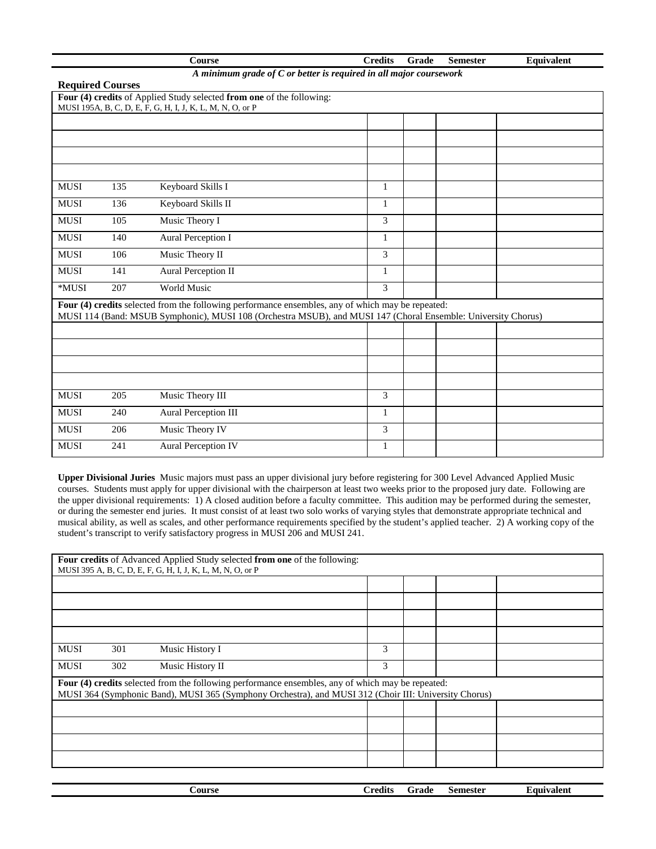|             |                                                                    | <b>Course</b>                                                                                                                                                                                                      | <b>Credits</b> | Grade | <b>Semester</b> | Equivalent |  |  |  |
|-------------|--------------------------------------------------------------------|--------------------------------------------------------------------------------------------------------------------------------------------------------------------------------------------------------------------|----------------|-------|-----------------|------------|--|--|--|
|             | A minimum grade of C or better is required in all major coursework |                                                                                                                                                                                                                    |                |       |                 |            |  |  |  |
|             | <b>Required Courses</b>                                            |                                                                                                                                                                                                                    |                |       |                 |            |  |  |  |
|             |                                                                    | Four (4) credits of Applied Study selected from one of the following:<br>MUSI 195A, B, C, D, E, F, G, H, I, J, K, L, M, N, O, or P                                                                                 |                |       |                 |            |  |  |  |
|             |                                                                    |                                                                                                                                                                                                                    |                |       |                 |            |  |  |  |
|             |                                                                    |                                                                                                                                                                                                                    |                |       |                 |            |  |  |  |
|             |                                                                    |                                                                                                                                                                                                                    |                |       |                 |            |  |  |  |
|             |                                                                    |                                                                                                                                                                                                                    |                |       |                 |            |  |  |  |
|             |                                                                    |                                                                                                                                                                                                                    |                |       |                 |            |  |  |  |
| <b>MUSI</b> | 135                                                                | Keyboard Skills I                                                                                                                                                                                                  | $\mathbf{1}$   |       |                 |            |  |  |  |
| <b>MUSI</b> | 136                                                                | Keyboard Skills II                                                                                                                                                                                                 | 1              |       |                 |            |  |  |  |
| <b>MUSI</b> | 105                                                                | Music Theory I                                                                                                                                                                                                     | 3              |       |                 |            |  |  |  |
| <b>MUSI</b> | 140                                                                | Aural Perception I                                                                                                                                                                                                 | 1              |       |                 |            |  |  |  |
| <b>MUSI</b> | 106                                                                | Music Theory II                                                                                                                                                                                                    | 3              |       |                 |            |  |  |  |
| <b>MUSI</b> | 141                                                                | Aural Perception II                                                                                                                                                                                                | $\mathbf{1}$   |       |                 |            |  |  |  |
| *MUSI       | 207                                                                | World Music                                                                                                                                                                                                        | 3              |       |                 |            |  |  |  |
|             |                                                                    | Four (4) credits selected from the following performance ensembles, any of which may be repeated:<br>MUSI 114 (Band: MSUB Symphonic), MUSI 108 (Orchestra MSUB), and MUSI 147 (Choral Ensemble: University Chorus) |                |       |                 |            |  |  |  |
|             |                                                                    |                                                                                                                                                                                                                    |                |       |                 |            |  |  |  |
|             |                                                                    |                                                                                                                                                                                                                    |                |       |                 |            |  |  |  |
|             |                                                                    |                                                                                                                                                                                                                    |                |       |                 |            |  |  |  |
|             |                                                                    |                                                                                                                                                                                                                    |                |       |                 |            |  |  |  |
| <b>MUSI</b> | 205                                                                | Music Theory III                                                                                                                                                                                                   | 3              |       |                 |            |  |  |  |
| <b>MUSI</b> | 240                                                                | Aural Perception III                                                                                                                                                                                               | $\mathbf{1}$   |       |                 |            |  |  |  |
| <b>MUSI</b> | 206                                                                | Music Theory $\overline{IV}$                                                                                                                                                                                       | 3              |       |                 |            |  |  |  |
| <b>MUSI</b> | 241                                                                | <b>Aural Perception IV</b>                                                                                                                                                                                         | 1              |       |                 |            |  |  |  |
|             |                                                                    |                                                                                                                                                                                                                    |                |       |                 |            |  |  |  |

**Upper Divisional Juries** Music majors must pass an upper divisional jury before registering for 300 Level Advanced Applied Music courses. Students must apply for upper divisional with the chairperson at least two weeks prior to the proposed jury date. Following are the upper divisional requirements: 1) A closed audition before a faculty committee. This audition may be performed during the semester, or during the semester end juries. It must consist of at least two solo works of varying styles that demonstrate appropriate technical and musical ability, as well as scales, and other performance requirements specified by the student's applied teacher. 2) A working copy of the student's transcript to verify satisfactory progress in MUSI 206 and MUSI 241.

|             |     | Four credits of Advanced Applied Study selected from one of the following:                                                                                                                                 |   |  |  |
|-------------|-----|------------------------------------------------------------------------------------------------------------------------------------------------------------------------------------------------------------|---|--|--|
|             |     | MUSI 395 A, B, C, D, E, F, G, H, I, J, K, L, M, N, O, or P                                                                                                                                                 |   |  |  |
|             |     |                                                                                                                                                                                                            |   |  |  |
|             |     |                                                                                                                                                                                                            |   |  |  |
|             |     |                                                                                                                                                                                                            |   |  |  |
|             |     |                                                                                                                                                                                                            |   |  |  |
| <b>MUSI</b> | 301 | Music History I                                                                                                                                                                                            | 3 |  |  |
| <b>MUSI</b> | 302 | Music History II                                                                                                                                                                                           | 3 |  |  |
|             |     | Four (4) credits selected from the following performance ensembles, any of which may be repeated:<br>MUSI 364 (Symphonic Band), MUSI 365 (Symphony Orchestra), and MUSI 312 (Choir III: University Chorus) |   |  |  |
|             |     |                                                                                                                                                                                                            |   |  |  |
|             |     |                                                                                                                                                                                                            |   |  |  |
|             |     |                                                                                                                                                                                                            |   |  |  |
|             |     |                                                                                                                                                                                                            |   |  |  |

| <b>Course</b> | Predits | Grade | Semester | Lauivalent |
|---------------|---------|-------|----------|------------|
|               |         |       |          |            |